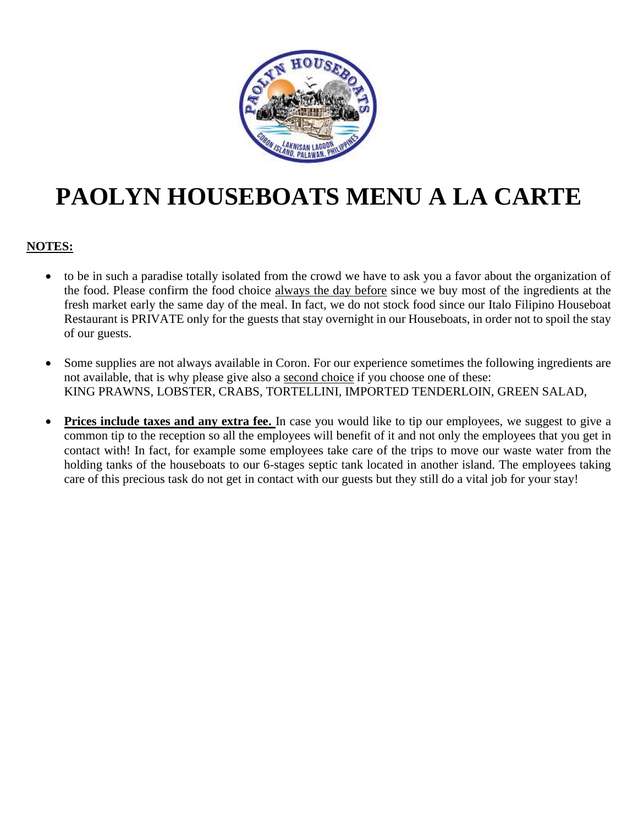

## **PAOLYN HOUSEBOATS MENU A LA CARTE**

#### **NOTES:**

- to be in such a paradise totally isolated from the crowd we have to ask you a favor about the organization of the food. Please confirm the food choice always the day before since we buy most of the ingredients at the fresh market early the same day of the meal. In fact, we do not stock food since our Italo Filipino Houseboat Restaurant is PRIVATE only for the guests that stay overnight in our Houseboats, in order not to spoil the stay of our guests.
- Some supplies are not always available in Coron. For our experience sometimes the following ingredients are not available, that is why please give also a second choice if you choose one of these: KING PRAWNS, LOBSTER, CRABS, TORTELLINI, IMPORTED TENDERLOIN, GREEN SALAD,
- **Prices include taxes and any extra fee.** In case you would like to tip our employees, we suggest to give a common tip to the reception so all the employees will benefit of it and not only the employees that you get in contact with! In fact, for example some employees take care of the trips to move our waste water from the holding tanks of the houseboats to our 6-stages septic tank located in another island. The employees taking care of this precious task do not get in contact with our guests but they still do a vital job for your stay!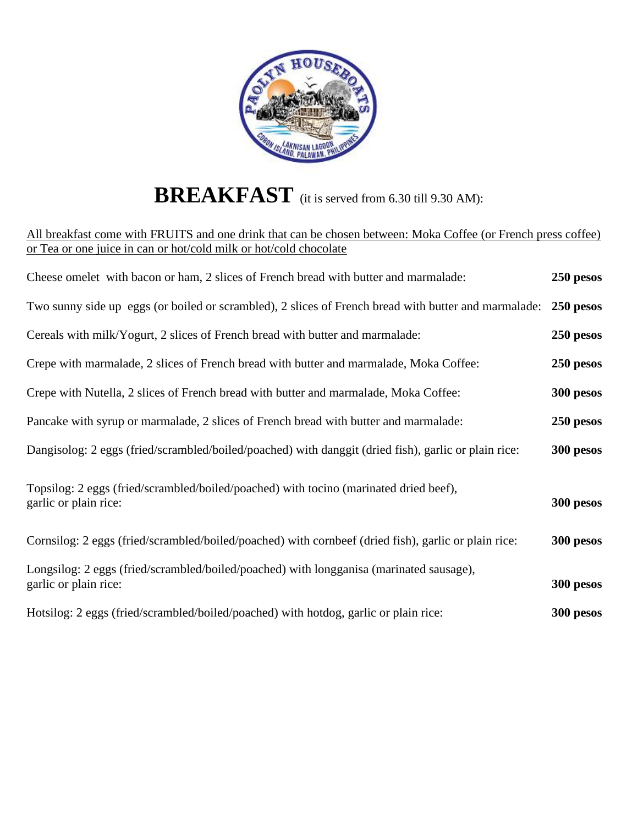

# **BREAKFAST** (it is served from 6.30 till 9.30 AM):

| All breakfast come with FRUITS and one drink that can be chosen between: Moka Coffee (or French press coffee)    |           |
|------------------------------------------------------------------------------------------------------------------|-----------|
| or Tea or one juice in can or hot/cold milk or hot/cold chocolate                                                |           |
| Cheese omelet with bacon or ham, 2 slices of French bread with butter and marmalade:                             | 250 pesos |
| Two sunny side up eggs (or boiled or scrambled), 2 slices of French bread with butter and marmalade:             | 250 pesos |
| Cereals with milk/Yogurt, 2 slices of French bread with butter and marmalade:                                    | 250 pesos |
| Crepe with marmalade, 2 slices of French bread with butter and marmalade, Moka Coffee:                           | 250 pesos |
| Crepe with Nutella, 2 slices of French bread with butter and marmalade, Moka Coffee:                             | 300 pesos |
| Pancake with syrup or marmalade, 2 slices of French bread with butter and marmalade:                             | 250 pesos |
| Dangisolog: 2 eggs (fried/scrambled/boiled/poached) with danggit (dried fish), garlic or plain rice:             | 300 pesos |
| Topsilog: 2 eggs (fried/scrambled/boiled/poached) with tocino (marinated dried beef),                            |           |
| garlic or plain rice:                                                                                            | 300 pesos |
| Cornsilog: 2 eggs (fried/scrambled/boiled/poached) with cornbeef (dried fish), garlic or plain rice:             | 300 pesos |
| Longsilog: 2 eggs (fried/scrambled/boiled/poached) with longganisa (marinated sausage),<br>garlic or plain rice: | 300 pesos |
| Hotsilog: 2 eggs (fried/scrambled/boiled/poached) with hotdog, garlic or plain rice:                             | 300 pesos |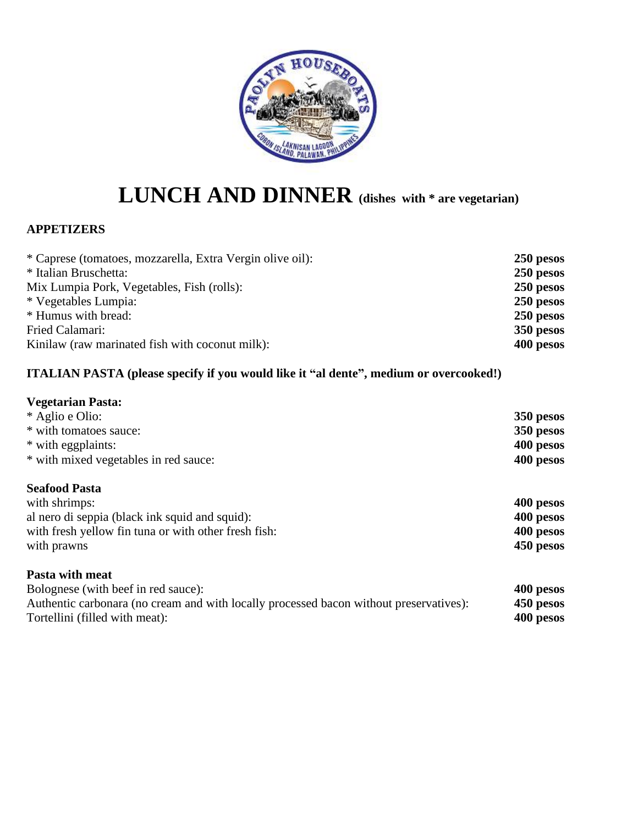

## **LUNCH AND DINNER (dishes with \* are vegetarian)**

#### **APPETIZERS**

| * Caprese (tomatoes, mozzarella, Extra Vergin olive oil): | 250 pesos |
|-----------------------------------------------------------|-----------|
| * Italian Bruschetta:                                     | 250 pesos |
| Mix Lumpia Pork, Vegetables, Fish (rolls):                | 250 pesos |
| * Vegetables Lumpia:                                      | 250 pesos |
| * Humus with bread:                                       | 250 pesos |
| Fried Calamari:                                           | 350 pesos |
| Kinilaw (raw marinated fish with coconut milk):           | 400 pesos |
|                                                           |           |

#### **ITALIAN PASTA (please specify if you would like it "al dente", medium or overcooked!)**

#### **Vegetarian Pasta:**

| * Aglio e Olio:                       | 350 pesos |
|---------------------------------------|-----------|
| * with tomatoes sauce:                | 350 pesos |
| * with eggplaints:                    | 400 pesos |
| * with mixed vegetables in red sauce: | 400 pesos |
|                                       |           |

#### **Seafood Pasta**

| with shrimps:                                        | 400 pesos |
|------------------------------------------------------|-----------|
| al nero di seppia (black ink squid and squid):       | 400 pesos |
| with fresh yellow fin tuna or with other fresh fish: | 400 pesos |
| with prawns                                          | 450 pesos |
|                                                      |           |

#### **Pasta with meat**

Bolognese (with beef in red sauce): **400 pesos**<br>Authentic carbonara (no cream and with locally processed bacon without preservatives): **450 pesos** Authentic carbonara (no cream and with locally processed bacon without preservatives): Tortellini (filled with meat): **400 pesos**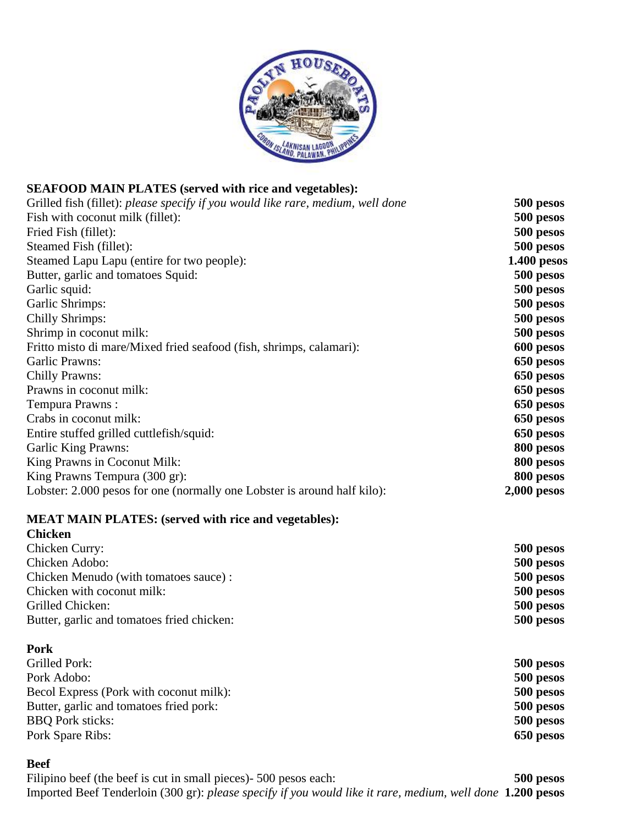

#### **SEAFOOD MAIN PLATES (served with rice and vegetables):**

| Grilled fish (fillet): please specify if you would like rare, medium, well done | 500 pesos     |
|---------------------------------------------------------------------------------|---------------|
| Fish with coconut milk (fillet):                                                | 500 pesos     |
| Fried Fish (fillet):                                                            | 500 pesos     |
| Steamed Fish (fillet):                                                          | 500 pesos     |
| Steamed Lapu Lapu (entire for two people):                                      | $1.400$ pesos |
| Butter, garlic and tomatoes Squid:                                              | 500 pesos     |
| Garlic squid:                                                                   | 500 pesos     |
| Garlic Shrimps:                                                                 | 500 pesos     |
| <b>Chilly Shrimps:</b>                                                          | 500 pesos     |
| Shrimp in coconut milk:                                                         | 500 pesos     |
| Fritto misto di mare/Mixed fried seafood (fish, shrimps, calamari):             | 600 pesos     |
| Garlic Prawns:                                                                  | 650 pesos     |
| <b>Chilly Prawns:</b>                                                           | 650 pesos     |
| Prawns in coconut milk:                                                         | 650 pesos     |
| Tempura Prawns:                                                                 | 650 pesos     |
| Crabs in coconut milk:                                                          | 650 pesos     |
| Entire stuffed grilled cuttlefish/squid:                                        | 650 pesos     |
| <b>Garlic King Prawns:</b>                                                      | 800 pesos     |
| King Prawns in Coconut Milk:                                                    | 800 pesos     |
| King Prawns Tempura (300 gr):                                                   | 800 pesos     |
| Lobster: 2.000 pesos for one (normally one Lobster is around half kilo):        | $2,000$ pesos |
| <b>MEAT MAIN PLATES:</b> (served with rice and vegetables):                     |               |
| <b>Chicken</b>                                                                  |               |
| Chicken Curry:                                                                  | 500 pesos     |
| Chicken Adobo:                                                                  | 500 pesos     |

|                                            | .         |
|--------------------------------------------|-----------|
| Chicken Menudo (with tomatoes sauce):      | 500 pesos |
| Chicken with coconut milk:                 | 500 pesos |
| Grilled Chicken:                           | 500 pesos |
| Butter, garlic and tomatoes fried chicken: | 500 pesos |

#### **Pork**

| Grilled Pork:                           | 500 pesos |
|-----------------------------------------|-----------|
| Pork Adobo:                             | 500 pesos |
| Becol Express (Pork with coconut milk): | 500 pesos |
| Butter, garlic and tomatoes fried pork: | 500 pesos |
| <b>BBQ</b> Pork sticks:                 | 500 pesos |
| Pork Spare Ribs:                        | 650 pesos |

#### **Beef**

Filipino beef (the beef is cut in small pieces)- 500 pesos each: **500 pesos** Imported Beef Tenderloin (300 gr): *please specify if you would like it rare, medium, well done* **1.200 pesos**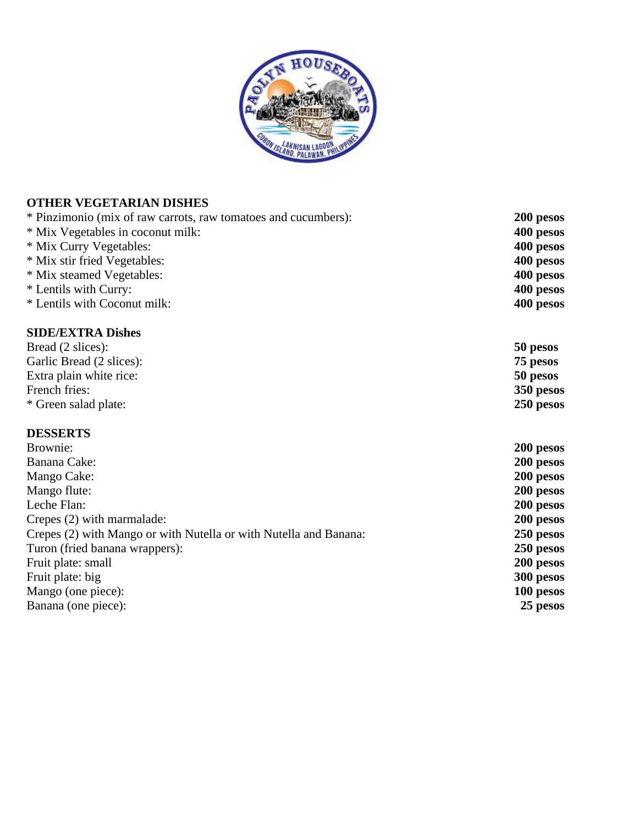

### **OTHER VEGETARIAN DISHES**

| * Pinzimonio (mix of raw carrots, raw tomatoes and cucumbers):    | 200 pesos |
|-------------------------------------------------------------------|-----------|
| * Mix Vegetables in coconut milk:                                 | 400 pesos |
| * Mix Curry Vegetables:                                           | 400 pesos |
| * Mix stir fried Vegetables:                                      | 400 pesos |
| * Mix steamed Vegetables:                                         | 400 pesos |
| * Lentils with Curry:                                             | 400 pesos |
| * Lentils with Coconut milk:                                      | 400 pesos |
| <b>SIDE/EXTRA Dishes</b>                                          |           |
| Bread (2 slices):                                                 | 50 pesos  |
| Garlic Bread (2 slices):                                          | 75 pesos  |
| Extra plain white rice:                                           | 50 pesos  |
| French fries:                                                     | 350 pesos |
| * Green salad plate:                                              | 250 pesos |
| <b>DESSERTS</b>                                                   |           |
| Brownie:                                                          | 200 pesos |
| Banana Cake:                                                      | 200 pesos |
| Mango Cake:                                                       | 200 pesos |
| Mango flute:                                                      | 200 pesos |
| Leche Flan:                                                       | 200 pesos |
| Crepes (2) with marmalade:                                        | 200 pesos |
| Crepes (2) with Mango or with Nutella or with Nutella and Banana: | 250 pesos |
| Turon (fried banana wrappers):                                    | 250 pesos |
| Fruit plate: small                                                | 200 pesos |
| Fruit plate: big                                                  | 300 pesos |
| Mango (one piece):                                                | 100 pesos |
| Banana (one piece):                                               | 25 pesos  |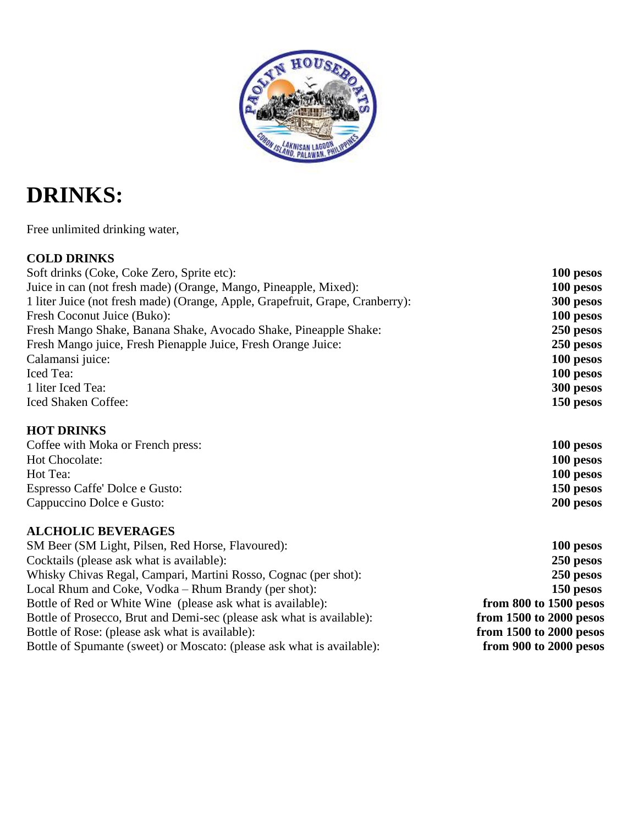

### **DRINKS:**

Free unlimited drinking water,

#### **COLD DRINKS**

| Soft drinks (Coke, Coke Zero, Sprite etc):                                    | 100 pesos               |
|-------------------------------------------------------------------------------|-------------------------|
| Juice in can (not fresh made) (Orange, Mango, Pineapple, Mixed):              | 100 pesos               |
| 1 liter Juice (not fresh made) (Orange, Apple, Grapefruit, Grape, Cranberry): | 300 pesos               |
| Fresh Coconut Juice (Buko):                                                   | 100 pesos               |
| Fresh Mango Shake, Banana Shake, Avocado Shake, Pineapple Shake:              | 250 pesos               |
| Fresh Mango juice, Fresh Pienapple Juice, Fresh Orange Juice:                 | 250 pesos               |
| Calamansi juice:                                                              | 100 pesos               |
| <b>Iced</b> Tea:                                                              | 100 pesos               |
| 1 liter Iced Tea:                                                             | 300 pesos               |
| <b>Iced Shaken Coffee:</b>                                                    | 150 pesos               |
| <b>HOT DRINKS</b>                                                             |                         |
| Coffee with Moka or French press:                                             | 100 pesos               |
| Hot Chocolate:                                                                | 100 pesos               |
| Hot Tea:                                                                      | 100 pesos               |
| Espresso Caffe' Dolce e Gusto:                                                | 150 pesos               |
| Cappuccino Dolce e Gusto:                                                     | 200 pesos               |
| <b>ALCHOLIC BEVERAGES</b>                                                     |                         |
| SM Beer (SM Light, Pilsen, Red Horse, Flavoured):                             | 100 pesos               |
| Cocktails (please ask what is available):                                     | 250 pesos               |
| Whisky Chivas Regal, Campari, Martini Rosso, Cognac (per shot):               | 250 pesos               |
| Local Rhum and Coke, Vodka – Rhum Brandy (per shot):                          | 150 pesos               |
| Bottle of Red or White Wine (please ask what is available):                   | from 800 to 1500 pesos  |
| Bottle of Prosecco, Brut and Demi-sec (please ask what is available):         | from 1500 to 2000 pesos |
| Bottle of Rose: (please ask what is available):                               | from 1500 to 2000 pesos |
| Bottle of Spumante (sweet) or Moscato: (please ask what is available):        | from 900 to 2000 pesos  |